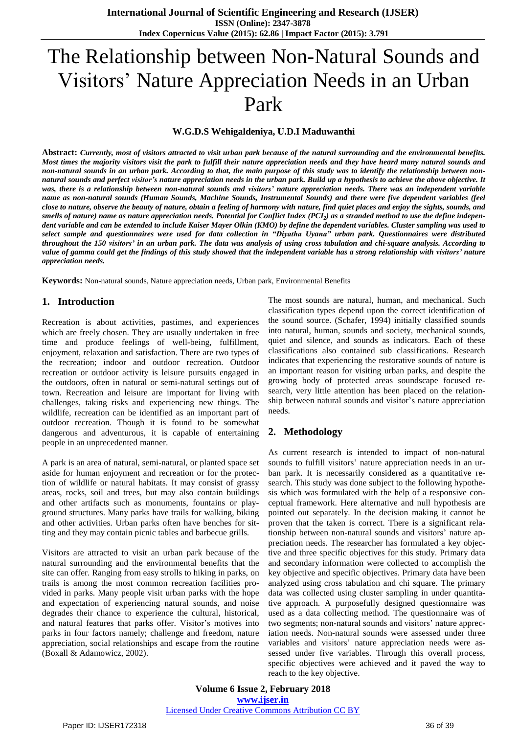# The Relationship between Non-Natural Sounds and Visitors' Nature Appreciation Needs in an Urban Park

### **W.G.D.S Wehigaldeniya, U.D.I Maduwanthi**

Abstract: Currently, most of visitors attracted to visit urban park because of the natural surrounding and the environmental benefits. Most times the majority visitors visit the park to fulfill their nature appreciation needs and they have heard many natural sounds and non-natural sounds in an urban park. According to that, the main purpose of this study was to identify the relationship between nonnatural sounds and perfect visitor's nature appreciation needs in the urban park. Build up a hypothesis to achieve the above objective. It was, there is a relationship between non-natural sounds and visitors' nature appreciation needs. There was an independent variable name as non-natural sounds (Human Sounds, Machine Sounds, Instrumental Sounds) and there were five dependent variables (feel close to nature, observe the beauty of nature, obtain a feeling of harmony with nature, find quiet places and enjoy the sights, sounds, and smells of nature) name as nature appreciation needs. Potential for Conflict Index (PCI<sub>2</sub>) as a stranded method to use the define independent variable and can be extended to include Kaiser Mayer Olkin (KMO) by define the dependent variables. Cluster sampling was used to select sample and questionnaires were used for data collection in "Diyatha Uyana" urban park. Questionnaires were distributed throughout the 150 visitors' in an urban park. The data was analysis of using cross tabulation and chi-square analysis. According to value of gamma could get the findings of this study showed that the independent variable has a strong relationship with visitors' nature *appreciation needs.*

**Keywords:** Non-natural sounds, Nature appreciation needs, Urban park, Environmental Benefits

#### **1. Introduction**

Recreation is about activities, pastimes, and experiences which are freely chosen. They are usually undertaken in free time and produce feelings of well-being, fulfillment, enjoyment, relaxation and satisfaction. There are two types of the recreation; indoor and outdoor recreation. Outdoor recreation or outdoor activity is leisure pursuits engaged in the outdoors, often in natural or semi-natural settings out of town. Recreation and leisure are important for living with challenges, taking risks and experiencing new things. The wildlife, recreation can be identified as an important part of outdoor recreation. Though it is found to be somewhat dangerous and adventurous, it is capable of entertaining people in an unprecedented manner.

A park is an area of natural, semi-natural, or planted space set aside for human enjoyment and recreation or for the protection of wildlife or natural habitats. It may consist of grassy areas, rocks, soil and trees, but may also contain buildings and other artifacts such as monuments, fountains or playground structures. Many parks have trails for walking, biking and other activities. Urban parks often have benches for sitting and they may contain picnic tables and barbecue grills.

Visitors are attracted to visit an urban park because of the natural surrounding and the environmental benefits that the site can offer. Ranging from easy strolls to hiking in parks, on trails is among the most common recreation facilities provided in parks. Many people visit urban parks with the hope and expectation of experiencing natural sounds, and noise degrades their chance to experience the cultural, historical, and natural features that parks offer. Visitor's motives into parks in four factors namely; challenge and freedom, nature appreciation, social relationships and escape from the routine (Boxall & Adamowicz, 2002).

The most sounds are natural, human, and mechanical. Such classification types depend upon the correct identification of the sound source. (Schafer, 1994) initially classified sounds into natural, human, sounds and society, mechanical sounds, quiet and silence, and sounds as indicators. Each of these classifications also contained sub classifications. Research indicates that experiencing the restorative sounds of nature is an important reason for visiting urban parks, and despite the growing body of protected areas soundscape focused research, very little attention has been placed on the relationship between natural sounds and visitor's nature appreciation needs.

## **2. Methodology**

As current research is intended to impact of non-natural sounds to fulfill visitors' nature appreciation needs in an urban park. It is necessarily considered as a quantitative research. This study was done subject to the following hypothesis which was formulated with the help of a responsive conceptual framework. Here alternative and null hypothesis are pointed out separately. In the decision making it cannot be proven that the taken is correct. There is a significant relationship between non-natural sounds and visitors' nature appreciation needs. The researcher has formulated a key objective and three specific objectives for this study. Primary data and secondary information were collected to accomplish the key objective and specific objectives. Primary data have been analyzed using cross tabulation and chi square. The primary data was collected using cluster sampling in under quantitative approach. A purposefully designed questionnaire was used as a data collecting method. The questionnaire was of two segments; non-natural sounds and visitors' nature appreciation needs. Non-natural sounds were assessed under three variables and visitors' nature appreciation needs were assessed under five variables. Through this overall process, specific objectives were achieved and it paved the way to reach to the key objective.

**Volume 6 Issue 2, February 2018 [www.ijser.in](file:///G:\www.ijser.in\Documents\www.ijser.in)** [Licensed Under Creative Commons Attribution CC BY](http://creativecommons.org/licenses/by/4.0/)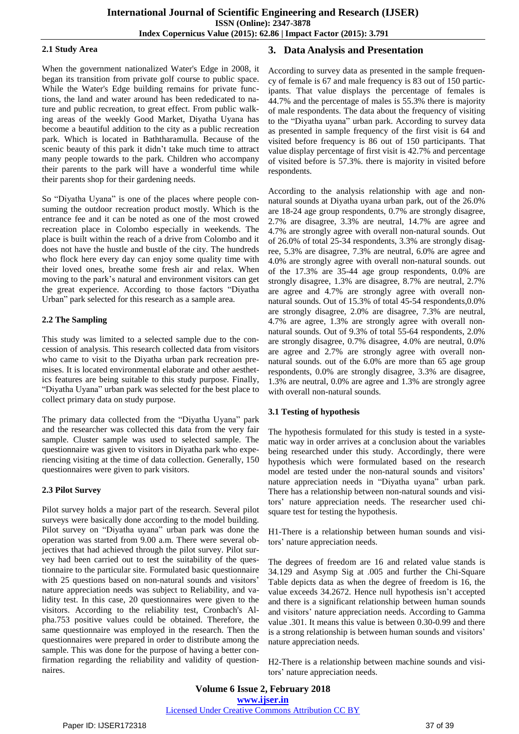#### **2.1 Study Area**

When the government nationalized Water's Edge in 2008, it began its transition from private golf course to public space. While the Water's Edge building remains for private functions, the land and water around has been rededicated to nature and public recreation, to great effect. From public walking areas of the weekly Good Market, Diyatha Uyana has become a beautiful addition to the city as a public recreation park. Which is located in Baththaramulla. Because of the scenic beauty of this park it didn't take much time to attract many people towards to the park. Children who accompany their parents to the park will have a wonderful time while their parents shop for their gardening needs.

So "Diyatha Uyana" is one of the places where people consuming the outdoor recreation product mostly. Which is the entrance fee and it can be noted as one of the most crowed recreation place in Colombo especially in weekends. The place is built within the reach of a drive from Colombo and it does not have the hustle and bustle of the city. The hundreds who flock here every day can enjoy some quality time with their loved ones, breathe some fresh air and relax. When moving to the park's natural and environment visitors can get the great experience. According to those factors "Diyatha Urban" park selected for this research as a sample area.

### **2.2 The Sampling**

This study was limited to a selected sample due to the concession of analysis. This research collected data from visitors who came to visit to the Diyatha urban park recreation premises. It is located environmental elaborate and other aesthetics features are being suitable to this study purpose. Finally, "Diyatha Uyana" urban park was selected for the best place to collect primary data on study purpose.

The primary data collected from the "Diyatha Uyana" park and the researcher was collected this data from the very fair sample. Cluster sample was used to selected sample. The questionnaire was given to visitors in Diyatha park who experiencing visiting at the time of data collection. Generally, 150 questionnaires were given to park visitors.

## **2.3 Pilot Survey**

Pilot survey holds a major part of the research. Several pilot surveys were basically done according to the model building. Pilot survey on "Diyatha uyana" urban park was done the operation was started from 9.00 a.m. There were several objectives that had achieved through the pilot survey. Pilot survey had been carried out to test the suitability of the questionnaire to the particular site. Formulated basic questionnaire with 25 questions based on non-natural sounds and visitors' nature appreciation needs was subject to Reliability, and validity test. In this case, 20 questionnaires were given to the visitors. According to the reliability test, Cronbach's Alpha.753 positive values could be obtained. Therefore, the same questionnaire was employed in the research. Then the questionnaires were prepared in order to distribute among the sample. This was done for the purpose of having a better confirmation regarding the reliability and validity of questionnaires.

## **3. Data Analysis and Presentation**

According to survey data as presented in the sample frequency of female is 67 and male frequency is 83 out of 150 participants. That value displays the percentage of females is 44.7% and the percentage of males is 55.3% there is majority of male respondents. The data about the frequency of visiting to the "Diyatha uyana" urban park. According to survey data as presented in sample frequency of the first visit is 64 and visited before frequency is 86 out of 150 participants. That value display percentage of first visit is 42.7% and percentage of visited before is 57.3%. there is majority in visited before respondents.

According to the analysis relationship with age and nonnatural sounds at Diyatha uyana urban park, out of the 26.0% are 18-24 age group respondents, 0.7% are strongly disagree, 2.7% are disagree, 3.3% are neutral, 14.7% are agree and 4.7% are strongly agree with overall non-natural sounds. Out of 26.0% of total 25-34 respondents, 3.3% are strongly disagree, 5.3% are disagree, 7.3% are neutral, 6.0% are agree and 4.0% are strongly agree with overall non-natural sounds. out of the 17.3% are 35-44 age group respondents, 0.0% are strongly disagree, 1.3% are disagree, 8.7% are neutral, 2.7% are agree and 4.7% are strongly agree with overall nonnatural sounds. Out of 15.3% of total 45-54 respondents,0.0% are strongly disagree, 2.0% are disagree, 7.3% are neutral, 4.7% are agree, 1.3% are strongly agree with overall nonnatural sounds. Out of 9.3% of total 55-64 respondents, 2.0% are strongly disagree, 0.7% disagree, 4.0% are neutral, 0.0% are agree and 2.7% are strongly agree with overall nonnatural sounds. out of the 6.0% are more than 65 age group respondents, 0.0% are strongly disagree, 3.3% are disagree, 1.3% are neutral, 0.0% are agree and 1.3% are strongly agree with overall non-natural sounds.

## **3.1 Testing of hypothesis**

The hypothesis formulated for this study is tested in a systematic way in order arrives at a conclusion about the variables being researched under this study. Accordingly, there were hypothesis which were formulated based on the research model are tested under the non-natural sounds and visitors' nature appreciation needs in "Diyatha uyana" urban park. There has a relationship between non-natural sounds and visitors' nature appreciation needs. The researcher used chisquare test for testing the hypothesis.

H1-There is a relationship between human sounds and visitors' nature appreciation needs.

The degrees of freedom are 16 and related value stands is 34.129 and Asymp Sig at .005 and further the Chi-Square Table depicts data as when the degree of freedom is 16, the value exceeds 34.2672. Hence null hypothesis isn't accepted and there is a significant relationship between human sounds and visitors' nature appreciation needs. According to Gamma value .301. It means this value is between 0.30-0.99 and there is a strong relationship is between human sounds and visitors' nature appreciation needs.

H2-There is a relationship between machine sounds and visitors' nature appreciation needs.

**Volume 6 Issue 2, February 2018 [www.ijser.in](file:///G:\www.ijser.in\Documents\www.ijser.in)** [Licensed Under Creative Commons Attribution CC BY](http://creativecommons.org/licenses/by/4.0/)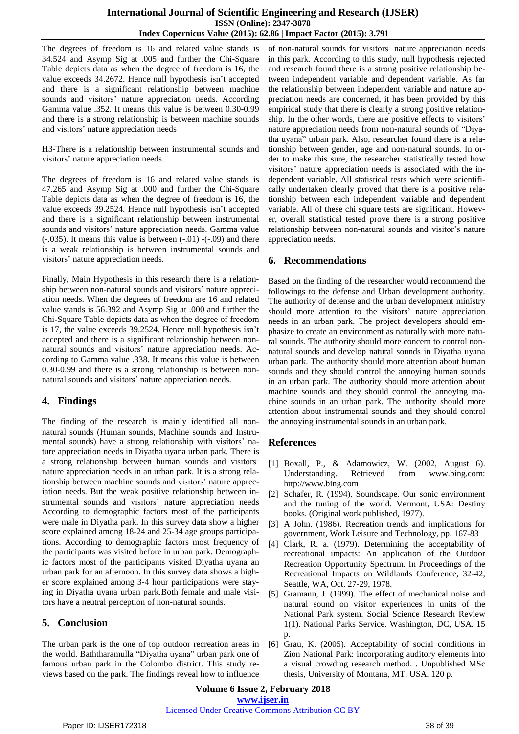The degrees of freedom is 16 and related value stands is 34.524 and Asymp Sig at .005 and further the Chi-Square Table depicts data as when the degree of freedom is 16, the value exceeds 34.2672. Hence null hypothesis isn't accepted and there is a significant relationship between machine sounds and visitors' nature appreciation needs. According Gamma value .352. It means this value is between 0.30-0.99 and there is a strong relationship is between machine sounds and visitors' nature appreciation needs

H3-There is a relationship between instrumental sounds and visitors' nature appreciation needs.

The degrees of freedom is 16 and related value stands is 47.265 and Asymp Sig at .000 and further the Chi-Square Table depicts data as when the degree of freedom is 16, the value exceeds 39.2524. Hence null hypothesis isn't accepted and there is a significant relationship between instrumental sounds and visitors' nature appreciation needs. Gamma value  $(-.035)$ . It means this value is between  $(-.01)$   $(-.09)$  and there is a weak relationship is between instrumental sounds and visitors' nature appreciation needs.

Finally, Main Hypothesis in this research there is a relationship between non-natural sounds and visitors' nature appreciation needs. When the degrees of freedom are 16 and related value stands is 56.392 and Asymp Sig at .000 and further the Chi-Square Table depicts data as when the degree of freedom is 17, the value exceeds 39.2524. Hence null hypothesis isn't accepted and there is a significant relationship between nonnatural sounds and visitors' nature appreciation needs. According to Gamma value .338. It means this value is between 0.30-0.99 and there is a strong relationship is between nonnatural sounds and visitors' nature appreciation needs.

# **4. Findings**

The finding of the research is mainly identified all nonnatural sounds (Human sounds, Machine sounds and Instrumental sounds) have a strong relationship with visitors' nature appreciation needs in Diyatha uyana urban park. There is a strong relationship between human sounds and visitors' nature appreciation needs in an urban park. It is a strong relationship between machine sounds and visitors' nature appreciation needs. But the weak positive relationship between instrumental sounds and visitors' nature appreciation needs According to demographic factors most of the participants were male in Diyatha park. In this survey data show a higher score explained among 18-24 and 25-34 age groups participations. According to demographic factors most frequency of the participants was visited before in urban park. Demographic factors most of the participants visited Diyatha uyana an urban park for an afternoon. In this survey data shows a higher score explained among 3-4 hour participations were staying in Diyatha uyana urban park.Both female and male visitors have a neutral perception of non-natural sounds.

# **5. Conclusion**

The urban park is the one of top outdoor recreation areas in the world. Baththaramulla "Diyatha uyana" urban park one of famous urban park in the Colombo district. This study reviews based on the park. The findings reveal how to influence

of non-natural sounds for visitors' nature appreciation needs in this park. According to this study, null hypothesis rejected and research found there is a strong positive relationship between independent variable and dependent variable. As far the relationship between independent variable and nature appreciation needs are concerned, it has been provided by this empirical study that there is clearly a strong positive relationship. In the other words, there are positive effects to visitors' nature appreciation needs from non-natural sounds of "Diyatha uyana" urban park. Also, researcher found there is a relationship between gender, age and non-natural sounds. In order to make this sure, the researcher statistically tested how visitors' nature appreciation needs is associated with the independent variable. All statistical tests which were scientifically undertaken clearly proved that there is a positive relationship between each independent variable and dependent variable. All of these chi square tests are significant. However, overall statistical tested prove there is a strong positive relationship between non-natural sounds and visitor's nature appreciation needs.

# **6. Recommendations**

Based on the finding of the researcher would recommend the followings to the defense and Urban development authority. The authority of defense and the urban development ministry should more attention to the visitors' nature appreciation needs in an urban park. The project developers should emphasize to create an environment as naturally with more natural sounds. The authority should more concern to control nonnatural sounds and develop natural sounds in Diyatha uyana urban park. The authority should more attention about human sounds and they should control the annoying human sounds in an urban park. The authority should more attention about machine sounds and they should control the annoying machine sounds in an urban park. The authority should more attention about instrumental sounds and they should control the annoying instrumental sounds in an urban park.

# **References**

- [1] Boxall, P., & Adamowicz, W. (2002, August 6). Understanding. Retrieved from www.bing.com: http://www.bing.com
- [2] Schafer, R. (1994). Soundscape. Our sonic environment and the tuning of the world. Vermont, USA: Destiny books. (Original work published, 1977).
- [3] A John. (1986). Recreation trends and implications for government, Work Leisure and Technology, pp. 167-83
- [4] Clark, R. a. (1979). Determining the acceptability of recreational impacts: An application of the Outdoor Recreation Opportunity Spectrum. In Proceedings of the Recreational Impacts on Wildlands Conference, 32-42, Seattle, WA, Oct. 27-29, 1978.
- [5] Gramann, J. (1999). The effect of mechanical noise and natural sound on visitor experiences in units of the National Park system. Social Science Research Review 1(1). National Parks Service. Washington, DC, USA. 15 p.
- [6] Grau, K. (2005). Acceptability of social conditions in Zion National Park: incorporating auditory elements into a visual crowding research method. . Unpublished MSc thesis, University of Montana, MT, USA. 120 p.

**Volume 6 Issue 2, February 2018 [www.ijser.in](file:///G:\www.ijser.in\Documents\www.ijser.in)**

#### [Licensed Under Creative Commons Attribution CC BY](http://creativecommons.org/licenses/by/4.0/)